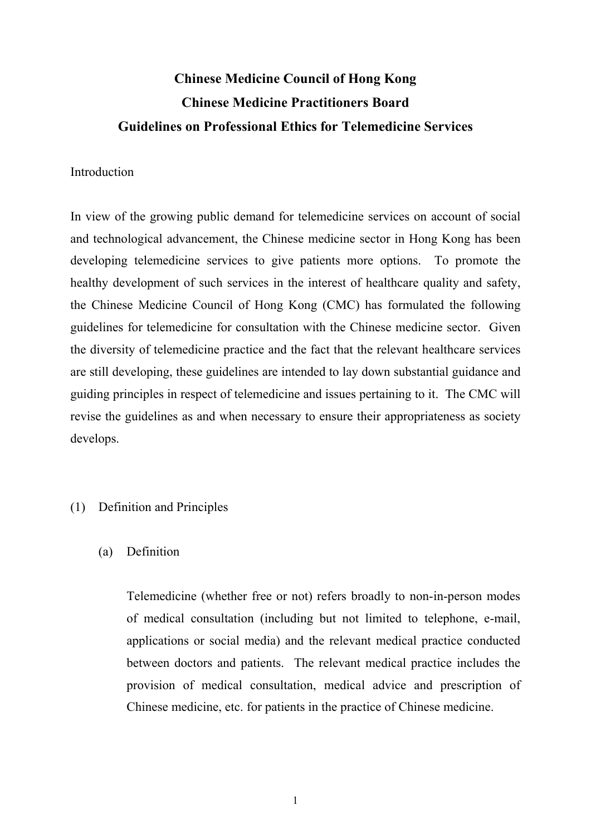# **Chinese Medicine Council of Hong Kong Chinese Medicine Practitioners Board Guidelines on Professional Ethics for Telemedicine Services**

#### Introduction

 and technological advancement, the Chinese medicine sector in Hong Kong has been developing telemedicine services to give patients more options. To promote the healthy development of such services in the interest of healthcare quality and safety, the Chinese Medicine Council of Hong Kong (CMC) has formulated the following the diversity of telemedicine practice and the fact that the relevant healthcare services In view of the growing public demand for telemedicine services on account of social guidelines for telemedicine for consultation with the Chinese medicine sector. Given are still developing, these guidelines are intended to lay down substantial guidance and guiding principles in respect of telemedicine and issues pertaining to it. The CMC will revise the guidelines as and when necessary to ensure their appropriateness as society develops.

### (1) Definition and Principles

 $(a)$ Definition

> applications or social media) and the relevant medical practice conducted between doctors and patients. The relevant medical practice includes the provision of medical consultation, medical advice and prescription of Telemedicine (whether free or not) refers broadly to non-in-person modes of medical consultation (including but not limited to telephone, e-mail, Chinese medicine, etc. for patients in the practice of Chinese medicine.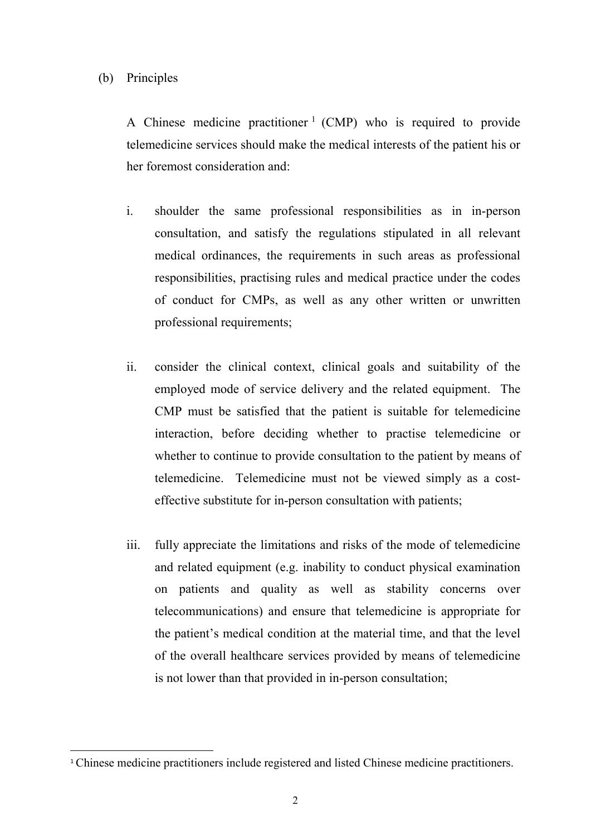### (b) Principles

 $\overline{a}$ 

A Chinese medicine practitioner  $1$  (CMP) who is required to provide telemedicine services should make the medical interests of the patient his or her foremost consideration and:

- i. shoulder the same professional responsibilities as in in-person consultation, and satisfy the regulations stipulated in all relevant medical ordinances, the requirements in such areas as professional responsibilities, practising rules and medical practice under the codes of conduct for CMPs, as well as any other written or unwritten professional requirements;
- ii. consider the clinical context, clinical goals and suitability of the employed mode of service delivery and the related equipment. The CMP must be satisfied that the patient is suitable for telemedicine interaction, before deciding whether to practise telemedicine or whether to continue to provide consultation to the patient by means of telemedicine. Telemedicine must not be viewed simply as a costeffective substitute for in-person consultation with patients;
- telecommunications) and ensure that telemedicine is appropriate for iii. fully appreciate the limitations and risks of the mode of telemedicine and related equipment (e.g. inability to conduct physical examination on patients and quality as well as stability concerns over the patient's medical condition at the material time, and that the level of the overall healthcare services provided by means of telemedicine is not lower than that provided in in-person consultation;

<span id="page-1-0"></span><sup>&</sup>lt;sup>1</sup>Chinese medicine practitioners include registered and listed Chinese medicine practitioners.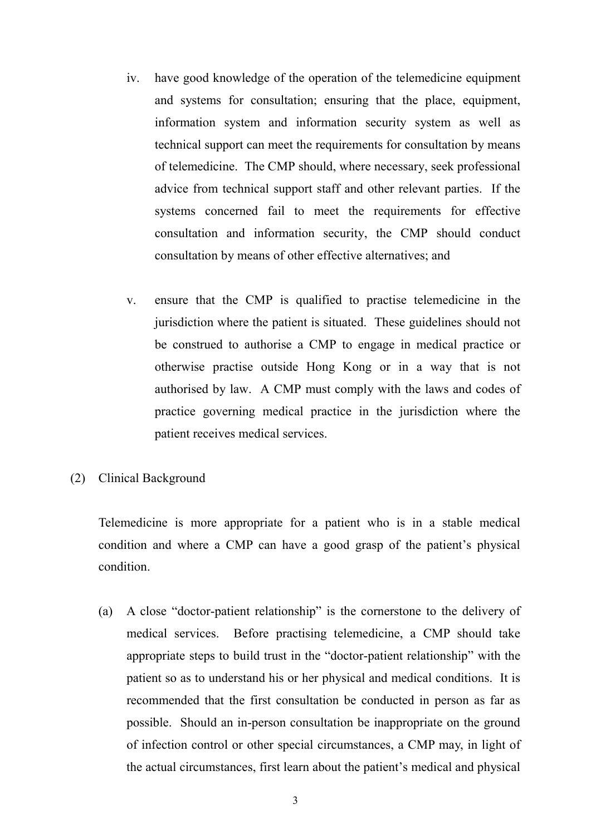- $iv.$  information system and information security system as well as have good knowledge of the operation of the telemedicine equipment and systems for consultation; ensuring that the place, equipment, technical support can meet the requirements for consultation by means of telemedicine. The CMP should, where necessary, seek professional advice from technical support staff and other relevant parties. If the systems concerned fail to meet the requirements for effective consultation and information security, the CMP should conduct consultation by means of other effective alternatives; and
- $V_{\star}$ ensure that the CMP is qualified to practise telemedicine in the jurisdiction where the patient is situated. These guidelines should not be construed to authorise a CMP to engage in medical practice or otherwise practise outside Hong Kong or in a way that is not authorised by law. A CMP must comply with the laws and codes of practice governing medical practice in the jurisdiction where the patient receives medical services.
- (2) Clinical Background

 Telemedicine is more appropriate for a patient who is in a stable medical condition and where a CMP can have a good grasp of the patient's physical condition.

 (a) A close "doctor-patient relationship" is the cornerstone to the delivery of medical services. Before practising telemedicine, a CMP should take of infection control or other special circumstances, a CMP may, in light of appropriate steps to build trust in the "doctor-patient relationship" with the patient so as to understand his or her physical and medical conditions. It is recommended that the first consultation be conducted in person as far as possible. Should an in-person consultation be inappropriate on the ground the actual circumstances, first learn about the patient's medical and physical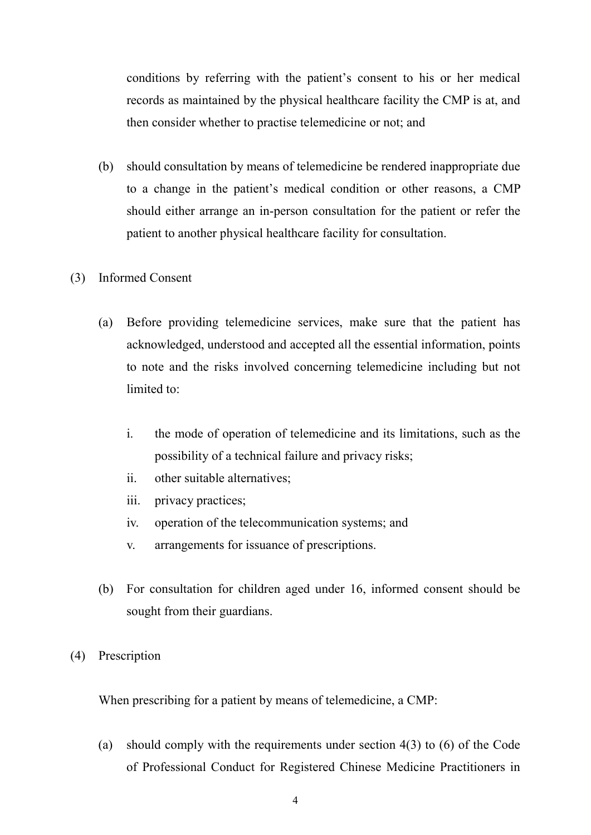conditions by referring with the patient's consent to his or her medical records as maintained by the physical healthcare facility the CMP is at, and then consider whether to practise telemedicine or not; and

- (b) should consultation by means of telemedicine be rendered inappropriate due to a change in the patient's medical condition or other reasons, a CMP should either arrange an in-person consultation for the patient or refer the patient to another physical healthcare facility for consultation.
- (3) Informed Consent
	- acknowledged, understood and accepted all the essential information, points limited to: (a) Before providing telemedicine services, make sure that the patient has to note and the risks involved concerning telemedicine including but not
		- possibility of a technical failure and privacy risks; i. the mode of operation of telemedicine and its limitations, such as the
		- ii. other suitable alternatives;
		- iii. privacy practices;
		- iv. operation of the telecommunication systems; and
		- v. arrangements for issuance of prescriptions.
	- (b) For consultation for children aged under 16, informed consent should be sought from their guardians.
- (4) Prescription

When prescribing for a patient by means of telemedicine, a CMP:

(a) should comply with the requirements under section 4(3) to (6) of the Code of Professional Conduct for Registered Chinese Medicine Practitioners in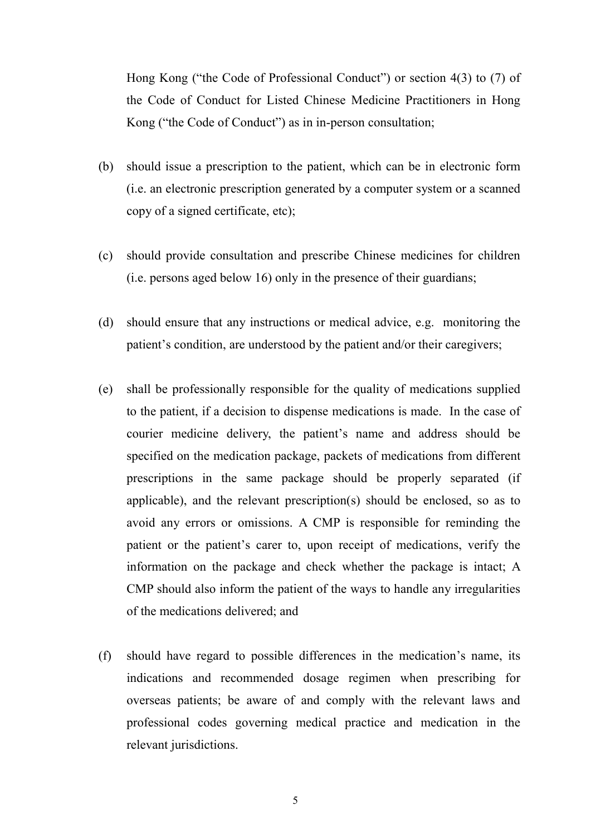Hong Kong ("the Code of Professional Conduct") or section 4(3) to (7) of the Code of Conduct for Listed Chinese Medicine Practitioners in Hong Kong ("the Code of Conduct") as in in-person consultation;

- (b) should issue a prescription to the patient, which can be in electronic form copy of a signed certificate, etc); (i.e. an electronic prescription generated by a computer system or a scanned
- (i.e. persons aged below 16) only in the presence of their guardians; (c) should provide consultation and prescribe Chinese medicines for children
- (d) should ensure that any instructions or medical advice, e.g. monitoring the patient's condition, are understood by the patient and/or their caregivers;
- to the patient, if a decision to dispense medications is made. In the case of specified on the medication package, packets of medications from different prescriptions in the same package should be properly separated (if information on the package and check whether the package is intact; A (e) shall be professionally responsible for the quality of medications supplied courier medicine delivery, the patient's name and address should be applicable), and the relevant prescription(s) should be enclosed, so as to avoid any errors or omissions. A CMP is responsible for reminding the patient or the patient's carer to, upon receipt of medications, verify the CMP should also inform the patient of the ways to handle any irregularities of the medications delivered; and
- (f) should have regard to possible differences in the medication's name, its indications and recommended dosage regimen when prescribing for overseas patients; be aware of and comply with the relevant laws and professional codes governing medical practice and medication in the relevant jurisdictions.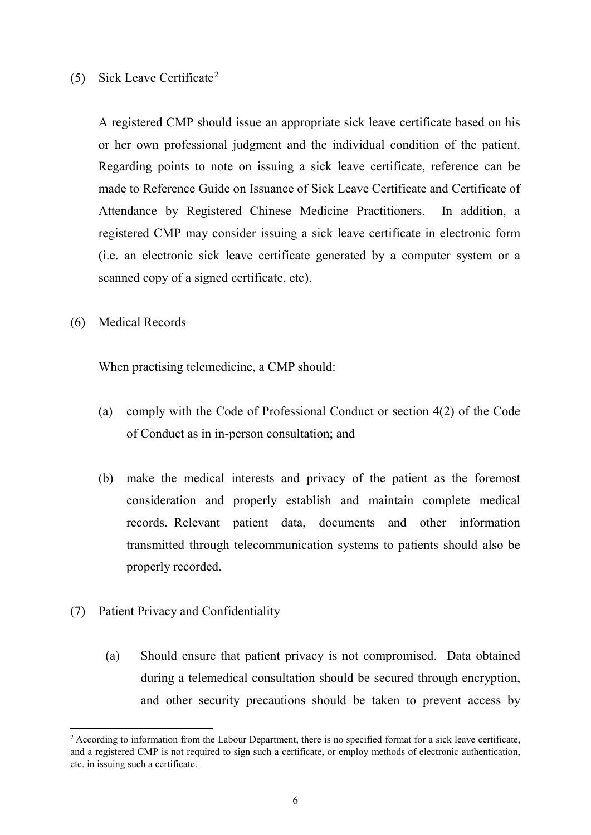## (5) Sick Leave Certificate[2](#page-5-0)

 or her own professional judgment and the individual condition of the patient. scanned copy of a signed certificate, etc). A registered CMP should issue an appropriate sick leave certificate based on his Regarding points to note on issuing a sick leave certificate, reference can be made to Reference Guide on Issuance of Sick Leave Certificate and Certificate of Attendance by Registered Chinese Medicine Practitioners. In addition, a registered CMP may consider issuing a sick leave certificate in electronic form (i.e. an electronic sick leave certificate generated by a computer system or a

(6) Medical Records

When practising telemedicine, a CMP should:

- (a) comply with the Code of Professional Conduct or section 4(2) of the Code of Conduct as in in-person consultation; and
- records. Relevant patient data, documents and other information transmitted through telecommunication systems to patients should also be (b) make the medical interests and privacy of the patient as the foremost consideration and properly establish and maintain complete medical properly recorded.
- (7) Patient Privacy and Confidentiality

**.** 

 (a) Should ensure that patient privacy is not compromised. Data obtained during a telemedical consultation should be secured through encryption, and other security precautions should be taken to prevent access by

<span id="page-5-0"></span> $2$  According to information from the Labour Department, there is no specified format for a sick leave certificate, etc. in issuing such a certificate. and a registered CMP is not required to sign such a certificate, or employ methods of electronic authentication,